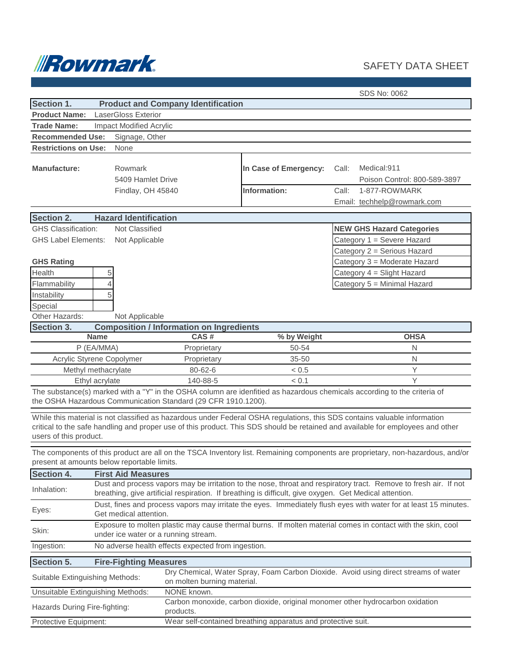

## SAFETY DATA SHEET

|                                                                                                                                                                                                                                                                                        | SDS No: 0062                                                                                                                                        |                                                               |                                       |                                                                                                                          |  |  |
|----------------------------------------------------------------------------------------------------------------------------------------------------------------------------------------------------------------------------------------------------------------------------------------|-----------------------------------------------------------------------------------------------------------------------------------------------------|---------------------------------------------------------------|---------------------------------------|--------------------------------------------------------------------------------------------------------------------------|--|--|
| Section 1.                                                                                                                                                                                                                                                                             | <b>Product and Company Identification</b>                                                                                                           |                                                               |                                       |                                                                                                                          |  |  |
| <b>Product Name:</b>                                                                                                                                                                                                                                                                   | LaserGloss Exterior                                                                                                                                 |                                                               |                                       |                                                                                                                          |  |  |
| <b>Trade Name:</b>                                                                                                                                                                                                                                                                     | <b>Impact Modified Acrylic</b>                                                                                                                      |                                                               |                                       |                                                                                                                          |  |  |
| <b>Recommended Use:</b>                                                                                                                                                                                                                                                                | Signage, Other                                                                                                                                      |                                                               |                                       |                                                                                                                          |  |  |
| <b>Restrictions on Use:</b>                                                                                                                                                                                                                                                            | None                                                                                                                                                |                                                               |                                       |                                                                                                                          |  |  |
| <b>Manufacture:</b>                                                                                                                                                                                                                                                                    | Rowmark<br>5409 Hamlet Drive<br>Findlay, OH 45840                                                                                                   |                                                               | In Case of Emergency:<br>Information: | Medical:911<br>Call:<br>Poison Control: 800-589-3897<br>Call:<br>1-877-ROWMARK                                           |  |  |
|                                                                                                                                                                                                                                                                                        |                                                                                                                                                     |                                                               |                                       | Email: techhelp@rowmark.com                                                                                              |  |  |
|                                                                                                                                                                                                                                                                                        |                                                                                                                                                     |                                                               |                                       |                                                                                                                          |  |  |
| <b>Section 2.</b>                                                                                                                                                                                                                                                                      | <b>Hazard Identification</b>                                                                                                                        |                                                               |                                       |                                                                                                                          |  |  |
| <b>GHS Classification:</b>                                                                                                                                                                                                                                                             | Not Classified                                                                                                                                      |                                                               |                                       | <b>NEW GHS Hazard Categories</b>                                                                                         |  |  |
| <b>GHS Label Elements:</b>                                                                                                                                                                                                                                                             | Not Applicable                                                                                                                                      |                                                               | Category 1 = Severe Hazard            |                                                                                                                          |  |  |
|                                                                                                                                                                                                                                                                                        |                                                                                                                                                     |                                                               |                                       | Category 2 = Serious Hazard                                                                                              |  |  |
| <b>GHS Rating</b>                                                                                                                                                                                                                                                                      |                                                                                                                                                     |                                                               |                                       | Category 3 = Moderate Hazard                                                                                             |  |  |
| Health                                                                                                                                                                                                                                                                                 | 5                                                                                                                                                   |                                                               |                                       | Category 4 = Slight Hazard                                                                                               |  |  |
| Flammability                                                                                                                                                                                                                                                                           | 4                                                                                                                                                   |                                                               |                                       | Category 5 = Minimal Hazard                                                                                              |  |  |
| Instability                                                                                                                                                                                                                                                                            | 5                                                                                                                                                   |                                                               |                                       |                                                                                                                          |  |  |
| Special                                                                                                                                                                                                                                                                                |                                                                                                                                                     |                                                               |                                       |                                                                                                                          |  |  |
| Other Hazards:                                                                                                                                                                                                                                                                         | Not Applicable                                                                                                                                      |                                                               |                                       |                                                                                                                          |  |  |
| Section 3.                                                                                                                                                                                                                                                                             | <b>Name</b>                                                                                                                                         | <b>Composition / Information on Ingredients</b><br>CAS#       | % by Weight                           | <b>OHSA</b>                                                                                                              |  |  |
|                                                                                                                                                                                                                                                                                        | P (EA/MMA)                                                                                                                                          | Proprietary                                                   | 50-54                                 | N                                                                                                                        |  |  |
|                                                                                                                                                                                                                                                                                        | Acrylic Styrene Copolymer                                                                                                                           | Proprietary                                                   | 35-50                                 | $\mathsf{N}$                                                                                                             |  |  |
|                                                                                                                                                                                                                                                                                        | Methyl methacrylate                                                                                                                                 | 80-62-6                                                       | < 0.5                                 | Y                                                                                                                        |  |  |
|                                                                                                                                                                                                                                                                                        | Ethyl acrylate                                                                                                                                      | 140-88-5                                                      | < 0.1                                 | Y                                                                                                                        |  |  |
|                                                                                                                                                                                                                                                                                        |                                                                                                                                                     | the OSHA Hazardous Communication Standard (29 CFR 1910.1200). |                                       | The substance(s) marked with a "Y" in the OSHA column are idenfitied as hazardous chemicals according to the criteria of |  |  |
| While this material is not classified as hazardous under Federal OSHA regulations, this SDS contains valuable information<br>critical to the safe handling and proper use of this product. This SDS should be retained and available for employees and other<br>users of this product. |                                                                                                                                                     |                                                               |                                       |                                                                                                                          |  |  |
| The components of this product are all on the TSCA Inventory list. Remaining components are proprietary, non-hazardous, and/or<br>present at amounts below reportable limits.                                                                                                          |                                                                                                                                                     |                                                               |                                       |                                                                                                                          |  |  |
| <b>Section 4.</b>                                                                                                                                                                                                                                                                      | <b>First Aid Measures</b>                                                                                                                           |                                                               |                                       |                                                                                                                          |  |  |
| Dust and process vapors may be irritation to the nose, throat and respiratory tract. Remove to fresh air. If not<br>Inhalation:<br>breathing, give artificial respiration. If breathing is difficult, give oxygen. Get Medical attention.                                              |                                                                                                                                                     |                                                               |                                       |                                                                                                                          |  |  |
| Eyes:                                                                                                                                                                                                                                                                                  | Dust, fines and process vapors may irritate the eyes. Immediately flush eyes with water for at least 15 minutes.<br>Get medical attention.          |                                                               |                                       |                                                                                                                          |  |  |
| Skin:                                                                                                                                                                                                                                                                                  | Exposure to molten plastic may cause thermal burns. If molten material comes in contact with the skin, cool<br>under ice water or a running stream. |                                                               |                                       |                                                                                                                          |  |  |
| Ingestion:                                                                                                                                                                                                                                                                             |                                                                                                                                                     | No adverse health effects expected from ingestion.            |                                       |                                                                                                                          |  |  |
| Section 5.                                                                                                                                                                                                                                                                             | <b>Fire-Fighting Measures</b>                                                                                                                       |                                                               |                                       |                                                                                                                          |  |  |
| Suitable Extinguishing Methods:                                                                                                                                                                                                                                                        |                                                                                                                                                     | on molten burning material.                                   |                                       | Dry Chemical, Water Spray, Foam Carbon Dioxide. Avoid using direct streams of water                                      |  |  |
| NONE known.<br>Unsuitable Extinguishing Methods:                                                                                                                                                                                                                                       |                                                                                                                                                     |                                                               |                                       |                                                                                                                          |  |  |
| Carbon monoxide, carbon dioxide, original monomer other hydrocarbon oxidation<br>Hazards During Fire-fighting:<br>products.                                                                                                                                                            |                                                                                                                                                     |                                                               |                                       |                                                                                                                          |  |  |
| Wear self-contained breathing apparatus and protective suit.<br>Protective Equipment:                                                                                                                                                                                                  |                                                                                                                                                     |                                                               |                                       |                                                                                                                          |  |  |
|                                                                                                                                                                                                                                                                                        |                                                                                                                                                     |                                                               |                                       |                                                                                                                          |  |  |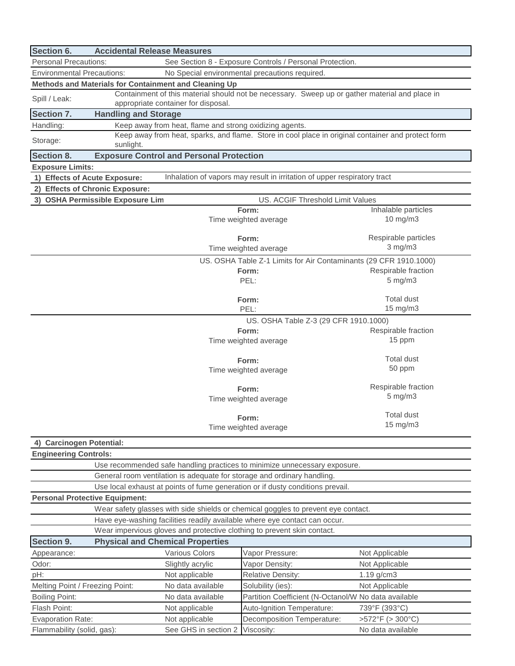| Section 6.                                                                        | <b>Accidental Release Measures</b>                                                                              |                                                         |                                                                                                |                                      |  |
|-----------------------------------------------------------------------------------|-----------------------------------------------------------------------------------------------------------------|---------------------------------------------------------|------------------------------------------------------------------------------------------------|--------------------------------------|--|
|                                                                                   | <b>Personal Precautions:</b><br>See Section 8 - Exposure Controls / Personal Protection.                        |                                                         |                                                                                                |                                      |  |
|                                                                                   | <b>Environmental Precautions:</b><br>No Special environmental precautions required.                             |                                                         |                                                                                                |                                      |  |
|                                                                                   | Methods and Materials for Containment and Cleaning Up                                                           |                                                         |                                                                                                |                                      |  |
| Spill / Leak:                                                                     |                                                                                                                 | appropriate container for disposal.                     | Containment of this material should not be necessary. Sweep up or gather material and place in |                                      |  |
| Section 7.                                                                        | <b>Handling and Storage</b>                                                                                     |                                                         |                                                                                                |                                      |  |
| Handling:                                                                         |                                                                                                                 | Keep away from heat, flame and strong oxidizing agents. |                                                                                                |                                      |  |
| Storage:                                                                          | Keep away from heat, sparks, and flame. Store in cool place in original container and protect form<br>sunlight. |                                                         |                                                                                                |                                      |  |
| Section 8.                                                                        |                                                                                                                 | <b>Exposure Control and Personal Protection</b>         |                                                                                                |                                      |  |
| <b>Exposure Limits:</b>                                                           |                                                                                                                 |                                                         |                                                                                                |                                      |  |
| 1) Effects of Acute Exposure:                                                     |                                                                                                                 |                                                         | Inhalation of vapors may result in irritation of upper respiratory tract                       |                                      |  |
|                                                                                   | 2) Effects of Chronic Exposure:                                                                                 |                                                         |                                                                                                |                                      |  |
|                                                                                   | 3) OSHA Permissible Exposure Lim                                                                                |                                                         | US. ACGIF Threshold Limit Values                                                               |                                      |  |
|                                                                                   |                                                                                                                 |                                                         | Form:<br>Time weighted average                                                                 | Inhalable particles<br>10 mg/m3      |  |
|                                                                                   |                                                                                                                 |                                                         | Form:<br>Time weighted average                                                                 | Respirable particles<br>$3$ mg/m $3$ |  |
|                                                                                   |                                                                                                                 |                                                         | US. OSHA Table Z-1 Limits for Air Contaminants (29 CFR 1910.1000)                              |                                      |  |
|                                                                                   |                                                                                                                 |                                                         | Form:                                                                                          | Respirable fraction                  |  |
|                                                                                   |                                                                                                                 |                                                         | PEL:                                                                                           | $5$ mg/m $3$                         |  |
|                                                                                   |                                                                                                                 |                                                         |                                                                                                |                                      |  |
|                                                                                   |                                                                                                                 |                                                         | Form:                                                                                          | <b>Total dust</b>                    |  |
|                                                                                   |                                                                                                                 |                                                         | PEL:                                                                                           | 15 mg/m3                             |  |
|                                                                                   |                                                                                                                 |                                                         | US. OSHA Table Z-3 (29 CFR 1910.1000)                                                          |                                      |  |
|                                                                                   |                                                                                                                 |                                                         | Form:                                                                                          | Respirable fraction                  |  |
|                                                                                   |                                                                                                                 |                                                         | Time weighted average                                                                          | 15 ppm                               |  |
|                                                                                   |                                                                                                                 |                                                         | Form:                                                                                          | <b>Total dust</b>                    |  |
|                                                                                   |                                                                                                                 |                                                         | Time weighted average                                                                          | 50 ppm                               |  |
|                                                                                   |                                                                                                                 |                                                         |                                                                                                |                                      |  |
|                                                                                   |                                                                                                                 |                                                         | Form:                                                                                          | Respirable fraction                  |  |
|                                                                                   |                                                                                                                 |                                                         | Time weighted average                                                                          | $5$ mg/m $3$                         |  |
|                                                                                   |                                                                                                                 |                                                         |                                                                                                | <b>Total dust</b>                    |  |
|                                                                                   |                                                                                                                 |                                                         | Form:<br>Time weighted average                                                                 | 15 mg/m3                             |  |
|                                                                                   |                                                                                                                 |                                                         |                                                                                                |                                      |  |
| 4) Carcinogen Potential:                                                          |                                                                                                                 |                                                         |                                                                                                |                                      |  |
| <b>Engineering Controls:</b>                                                      |                                                                                                                 |                                                         |                                                                                                |                                      |  |
| Use recommended safe handling practices to minimize unnecessary exposure.         |                                                                                                                 |                                                         |                                                                                                |                                      |  |
| General room ventilation is adequate for storage and ordinary handling.           |                                                                                                                 |                                                         |                                                                                                |                                      |  |
| Use local exhaust at points of fume generation or if dusty conditions prevail.    |                                                                                                                 |                                                         |                                                                                                |                                      |  |
| <b>Personal Protective Equipment:</b>                                             |                                                                                                                 |                                                         |                                                                                                |                                      |  |
| Wear safety glasses with side shields or chemical goggles to prevent eye contact. |                                                                                                                 |                                                         |                                                                                                |                                      |  |
| Have eye-washing facilities readily available where eye contact can occur.        |                                                                                                                 |                                                         |                                                                                                |                                      |  |
| Wear impervious gloves and protective clothing to prevent skin contact.           |                                                                                                                 |                                                         |                                                                                                |                                      |  |
| Section 9.                                                                        | <b>Physical and Chemical Properties</b>                                                                         |                                                         |                                                                                                |                                      |  |
| Appearance:                                                                       |                                                                                                                 | Various Colors                                          | Vapor Pressure:                                                                                | Not Applicable                       |  |
| Odor:                                                                             |                                                                                                                 | Slightly acrylic                                        | Vapor Density:                                                                                 | Not Applicable                       |  |
| pH:                                                                               |                                                                                                                 | Not applicable                                          | <b>Relative Density:</b>                                                                       | $1.19$ g/cm $3$                      |  |
| Melting Point / Freezing Point:                                                   |                                                                                                                 | No data available                                       | Solubility (ies):                                                                              | Not Applicable                       |  |
| <b>Boiling Point:</b>                                                             |                                                                                                                 | No data available                                       | Partition Coefficient (N-Octanol/W No data available                                           |                                      |  |
| Flash Point:                                                                      |                                                                                                                 | Not applicable                                          | Auto-Ignition Temperature:                                                                     | 739°F (393°C)                        |  |
| <b>Evaporation Rate:</b>                                                          |                                                                                                                 | Not applicable                                          | Decomposition Temperature:                                                                     | >572°F (> 300°C)                     |  |
| Flammability (solid, gas):                                                        |                                                                                                                 | See GHS in section 2                                    | Viscosity:                                                                                     | No data available                    |  |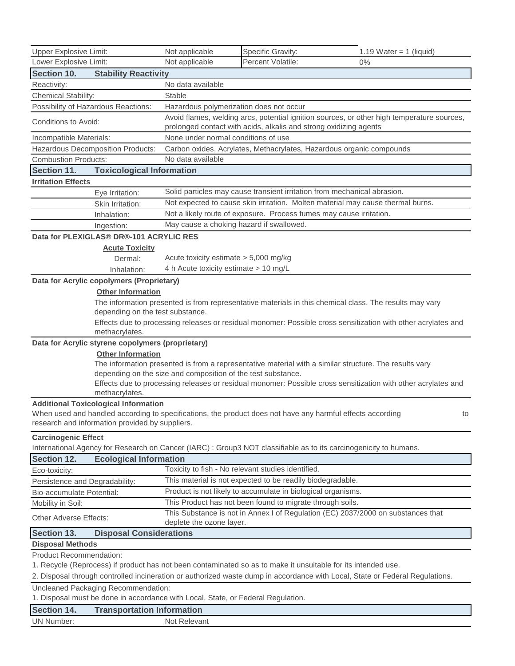| <b>Upper Explosive Limit:</b>                                                                                                                 | Not applicable                                                                                                                                                  | Specific Gravity:                                                                                       | 1.19 Water = 1 (liquid)                                                                                       |  |  |  |
|-----------------------------------------------------------------------------------------------------------------------------------------------|-----------------------------------------------------------------------------------------------------------------------------------------------------------------|---------------------------------------------------------------------------------------------------------|---------------------------------------------------------------------------------------------------------------|--|--|--|
| Lower Explosive Limit:                                                                                                                        | Not applicable                                                                                                                                                  | Percent Volatile:                                                                                       | $0\%$                                                                                                         |  |  |  |
| Section 10.<br><b>Stability Reactivity</b>                                                                                                    |                                                                                                                                                                 |                                                                                                         |                                                                                                               |  |  |  |
| Reactivity:                                                                                                                                   | No data available                                                                                                                                               |                                                                                                         |                                                                                                               |  |  |  |
| Chemical Stability:                                                                                                                           | Stable                                                                                                                                                          |                                                                                                         |                                                                                                               |  |  |  |
| Possibility of Hazardous Reactions:                                                                                                           | Hazardous polymerization does not occur                                                                                                                         |                                                                                                         |                                                                                                               |  |  |  |
| Conditions to Avoid:                                                                                                                          | Avoid flames, welding arcs, potential ignition sources, or other high temperature sources,<br>prolonged contact with acids, alkalis and strong oxidizing agents |                                                                                                         |                                                                                                               |  |  |  |
| Incompatible Materials:                                                                                                                       | None under normal conditions of use                                                                                                                             |                                                                                                         |                                                                                                               |  |  |  |
| Hazardous Decomposition Products:                                                                                                             | Carbon oxides, Acrylates, Methacrylates, Hazardous organic compounds                                                                                            |                                                                                                         |                                                                                                               |  |  |  |
| <b>Combustion Products:</b>                                                                                                                   | No data available                                                                                                                                               |                                                                                                         |                                                                                                               |  |  |  |
| Section 11.                                                                                                                                   | <b>Toxicological Information</b>                                                                                                                                |                                                                                                         |                                                                                                               |  |  |  |
| <b>Irritation Effects</b>                                                                                                                     |                                                                                                                                                                 |                                                                                                         |                                                                                                               |  |  |  |
| Eye Irritation:                                                                                                                               |                                                                                                                                                                 | Solid particles may cause transient irritation from mechanical abrasion.                                |                                                                                                               |  |  |  |
| Skin Irritation:                                                                                                                              |                                                                                                                                                                 | Not expected to cause skin irritation. Molten material may cause thermal burns.                         |                                                                                                               |  |  |  |
| Inhalation:                                                                                                                                   |                                                                                                                                                                 | Not a likely route of exposure. Process fumes may cause irritation.                                     |                                                                                                               |  |  |  |
| Ingestion:                                                                                                                                    | May cause a choking hazard if swallowed.                                                                                                                        |                                                                                                         |                                                                                                               |  |  |  |
| Data for PLEXIGLAS® DR®-101 ACRYLIC RESI                                                                                                      |                                                                                                                                                                 |                                                                                                         |                                                                                                               |  |  |  |
| <b>Acute Toxicity</b>                                                                                                                         |                                                                                                                                                                 |                                                                                                         |                                                                                                               |  |  |  |
| Dermal:                                                                                                                                       | Acute toxicity estimate $> 5,000$ mg/kg                                                                                                                         |                                                                                                         |                                                                                                               |  |  |  |
| Inhalation:                                                                                                                                   | 4 h Acute toxicity estimate > 10 mg/L                                                                                                                           |                                                                                                         |                                                                                                               |  |  |  |
| Data for Acrylic copolymers (Proprietary)                                                                                                     |                                                                                                                                                                 |                                                                                                         |                                                                                                               |  |  |  |
| <b>Other Information</b>                                                                                                                      |                                                                                                                                                                 |                                                                                                         |                                                                                                               |  |  |  |
|                                                                                                                                               |                                                                                                                                                                 | The information presented is from representative materials in this chemical class. The results may vary |                                                                                                               |  |  |  |
| depending on the test substance.                                                                                                              |                                                                                                                                                                 |                                                                                                         |                                                                                                               |  |  |  |
|                                                                                                                                               |                                                                                                                                                                 |                                                                                                         | Effects due to processing releases or residual monomer: Possible cross sensitization with other acrylates and |  |  |  |
| methacrylates.                                                                                                                                |                                                                                                                                                                 |                                                                                                         |                                                                                                               |  |  |  |
| Data for Acrylic styrene copolymers (proprietary)                                                                                             |                                                                                                                                                                 |                                                                                                         |                                                                                                               |  |  |  |
| <b>Other Information</b>                                                                                                                      |                                                                                                                                                                 |                                                                                                         |                                                                                                               |  |  |  |
|                                                                                                                                               |                                                                                                                                                                 | The information presented is from a representative material with a similar structure. The results vary  |                                                                                                               |  |  |  |
|                                                                                                                                               | depending on the size and composition of the test substance.                                                                                                    |                                                                                                         |                                                                                                               |  |  |  |
|                                                                                                                                               | Effects due to processing releases or residual monomer: Possible cross sensitization with other acrylates and                                                   |                                                                                                         |                                                                                                               |  |  |  |
| methacrylates.                                                                                                                                |                                                                                                                                                                 |                                                                                                         |                                                                                                               |  |  |  |
| <b>Additional Toxicological Information</b>                                                                                                   |                                                                                                                                                                 |                                                                                                         |                                                                                                               |  |  |  |
| When used and handled according to specifications, the product does not have any harmful effects according                                    |                                                                                                                                                                 |                                                                                                         | to                                                                                                            |  |  |  |
| research and information provided by suppliers.                                                                                               |                                                                                                                                                                 |                                                                                                         |                                                                                                               |  |  |  |
| <b>Carcinogenic Effect</b>                                                                                                                    |                                                                                                                                                                 |                                                                                                         |                                                                                                               |  |  |  |
| International Agency for Research on Cancer (IARC) : Group3 NOT classifiable as to its carcinogenicity to humans.                             |                                                                                                                                                                 |                                                                                                         |                                                                                                               |  |  |  |
| Section 12.<br><b>Ecological Information</b>                                                                                                  |                                                                                                                                                                 |                                                                                                         |                                                                                                               |  |  |  |
| Eco-toxicity:                                                                                                                                 |                                                                                                                                                                 | Toxicity to fish - No relevant studies identified.                                                      |                                                                                                               |  |  |  |
| Persistence and Degradability:                                                                                                                |                                                                                                                                                                 | This material is not expected to be readily biodegradable.                                              |                                                                                                               |  |  |  |
| Bio-accumulate Potential:                                                                                                                     |                                                                                                                                                                 | Product is not likely to accumulate in biological organisms.                                            |                                                                                                               |  |  |  |
| Mobility in Soil:                                                                                                                             |                                                                                                                                                                 | This Product has not been found to migrate through soils.                                               |                                                                                                               |  |  |  |
| This Substance is not in Annex I of Regulation (EC) 2037/2000 on substances that<br><b>Other Adverse Effects:</b><br>deplete the ozone layer. |                                                                                                                                                                 |                                                                                                         |                                                                                                               |  |  |  |
| Section 13.<br><b>Disposal Considerations</b>                                                                                                 |                                                                                                                                                                 |                                                                                                         |                                                                                                               |  |  |  |
| <b>Disposal Methods</b>                                                                                                                       |                                                                                                                                                                 |                                                                                                         |                                                                                                               |  |  |  |
| <b>Product Recommendation:</b>                                                                                                                |                                                                                                                                                                 |                                                                                                         |                                                                                                               |  |  |  |
| 1. Recycle (Reprocess) if product has not been contaminated so as to make it unsuitable for its intended use.                                 |                                                                                                                                                                 |                                                                                                         |                                                                                                               |  |  |  |
| 2. Disposal through controlled incineration or authorized waste dump in accordance with Local, State or Federal Regulations.                  |                                                                                                                                                                 |                                                                                                         |                                                                                                               |  |  |  |
| Uncleaned Packaging Recommendation:                                                                                                           |                                                                                                                                                                 |                                                                                                         |                                                                                                               |  |  |  |
| 1. Disposal must be done in accordance with Local, State, or Federal Regulation.                                                              |                                                                                                                                                                 |                                                                                                         |                                                                                                               |  |  |  |
| <b>Section 14.</b><br><b>Transportation Information</b>                                                                                       |                                                                                                                                                                 |                                                                                                         |                                                                                                               |  |  |  |
| <b>UN Number:</b>                                                                                                                             | Not Relevant                                                                                                                                                    |                                                                                                         |                                                                                                               |  |  |  |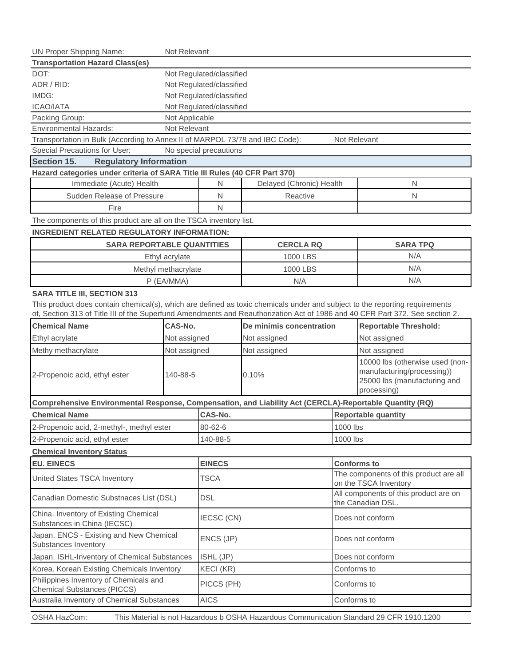| <b>UN Proper Shipping Name:</b><br>Not Relevant                                                         |                                                                              |                          |                          |                                                                                                         |                            |                                                                                                                              |  |
|---------------------------------------------------------------------------------------------------------|------------------------------------------------------------------------------|--------------------------|--------------------------|---------------------------------------------------------------------------------------------------------|----------------------------|------------------------------------------------------------------------------------------------------------------------------|--|
| <b>Transportation Hazard Class(es)</b>                                                                  |                                                                              |                          |                          |                                                                                                         |                            |                                                                                                                              |  |
| DOT:                                                                                                    |                                                                              | Not Regulated/classified |                          |                                                                                                         |                            |                                                                                                                              |  |
| ADR / RID:                                                                                              |                                                                              | Not Regulated/classified |                          |                                                                                                         |                            |                                                                                                                              |  |
| IMDG:                                                                                                   |                                                                              | Not Regulated/classified |                          |                                                                                                         |                            |                                                                                                                              |  |
| <b>ICAO/IATA</b>                                                                                        |                                                                              | Not Regulated/classified |                          |                                                                                                         |                            |                                                                                                                              |  |
| Not Applicable<br>Packing Group:                                                                        |                                                                              |                          |                          |                                                                                                         |                            |                                                                                                                              |  |
| <b>Environmental Hazards:</b>                                                                           |                                                                              | Not Relevant             |                          |                                                                                                         |                            |                                                                                                                              |  |
|                                                                                                         | Transportation in Bulk (According to Annex II of MARPOL 73/78 and IBC Code): |                          |                          |                                                                                                         | Not Relevant               |                                                                                                                              |  |
|                                                                                                         | Special Precautions for User:<br>No special precautions                      |                          |                          |                                                                                                         |                            |                                                                                                                              |  |
| Section 15.                                                                                             | <b>Regulatory Information</b>                                                |                          |                          |                                                                                                         |                            |                                                                                                                              |  |
|                                                                                                         | Hazard categories under criteria of SARA Title III Rules (40 CFR Part 370)   |                          |                          |                                                                                                         |                            |                                                                                                                              |  |
|                                                                                                         | Immediate (Acute) Health                                                     |                          | N                        | Delayed (Chronic) Health                                                                                |                            | N                                                                                                                            |  |
|                                                                                                         | Sudden Release of Pressure                                                   |                          | N                        | Reactive                                                                                                |                            | N                                                                                                                            |  |
|                                                                                                         | Fire                                                                         |                          | N                        |                                                                                                         |                            |                                                                                                                              |  |
|                                                                                                         | The components of this product are all on the TSCA inventory list.           |                          |                          |                                                                                                         |                            |                                                                                                                              |  |
|                                                                                                         | <b>INGREDIENT RELATED REGULATORY INFORMATION:</b>                            |                          |                          |                                                                                                         |                            |                                                                                                                              |  |
|                                                                                                         | <b>SARA REPORTABLE QUANTITIES</b>                                            |                          |                          | <b>CERCLA RQ</b>                                                                                        |                            | <b>SARA TPQ</b>                                                                                                              |  |
|                                                                                                         |                                                                              | Ethyl acrylate           |                          | 1000 LBS                                                                                                |                            | N/A                                                                                                                          |  |
|                                                                                                         |                                                                              | Methyl methacrylate      |                          | 1000 LBS                                                                                                |                            | N/A                                                                                                                          |  |
|                                                                                                         |                                                                              | $P$ (EA/MMA)             |                          | N/A                                                                                                     |                            | N/A                                                                                                                          |  |
| <b>SARA TITLE III, SECTION 313</b>                                                                      |                                                                              |                          |                          |                                                                                                         |                            |                                                                                                                              |  |
|                                                                                                         |                                                                              |                          |                          |                                                                                                         |                            | This product does contain chemical(s), which are defined as toxic chemicals under and subject to the reporting requirements  |  |
|                                                                                                         |                                                                              |                          |                          |                                                                                                         |                            | of, Section 313 of Title III of the Superfund Amendments and Reauthorization Act of 1986 and 40 CFR Part 372. See section 2. |  |
| <b>Chemical Name</b>                                                                                    |                                                                              | CAS-No.                  | De minimis concentration |                                                                                                         |                            | <b>Reportable Threshold:</b>                                                                                                 |  |
| Ethyl acrylate                                                                                          |                                                                              | Not assigned             | Not assigned             |                                                                                                         |                            | Not assigned                                                                                                                 |  |
| Methy methacrylate<br>Not assigned                                                                      |                                                                              | Not assigned             |                          |                                                                                                         | Not assigned               |                                                                                                                              |  |
|                                                                                                         |                                                                              |                          |                          |                                                                                                         |                            | 10000 lbs (otherwise used (non-                                                                                              |  |
| 2-Propenoic acid, ethyl ester                                                                           |                                                                              | 140-88-5                 | 0.10%                    |                                                                                                         |                            | manufacturing/processing))                                                                                                   |  |
|                                                                                                         |                                                                              |                          |                          |                                                                                                         |                            | 25000 lbs (manufacturing and                                                                                                 |  |
|                                                                                                         |                                                                              |                          |                          |                                                                                                         |                            | processing)                                                                                                                  |  |
|                                                                                                         |                                                                              |                          |                          | Comprehensive Environmental Response, Compensation, and Liability Act (CERCLA)-Reportable Quantity (RQ) |                            |                                                                                                                              |  |
| <b>Chemical Name</b>                                                                                    |                                                                              |                          | CAS-No.                  |                                                                                                         | <b>Reportable quantity</b> |                                                                                                                              |  |
|                                                                                                         | 2-Propenoic acid, 2-methyl-, methyl ester                                    |                          | 80-62-6                  |                                                                                                         | 1000 lbs                   |                                                                                                                              |  |
| 2-Propenoic acid, ethyl ester                                                                           |                                                                              |                          | 140-88-5                 |                                                                                                         | 1000 lbs                   |                                                                                                                              |  |
| <b>Chemical Inventory Status</b>                                                                        |                                                                              |                          |                          |                                                                                                         |                            |                                                                                                                              |  |
| <b>EU. EINECS</b>                                                                                       |                                                                              |                          | <b>EINECS</b>            |                                                                                                         | <b>Conforms to</b>         |                                                                                                                              |  |
| United States TSCA Inventory                                                                            |                                                                              | TSCA                     |                          | The components of this product are all                                                                  |                            |                                                                                                                              |  |
|                                                                                                         |                                                                              |                          |                          | on the TSCA Inventory<br>All components of this product are on                                          |                            |                                                                                                                              |  |
| Canadian Domestic Substnaces List (DSL)                                                                 |                                                                              |                          | <b>DSL</b>               |                                                                                                         | the Canadian DSL.          |                                                                                                                              |  |
| China. Inventory of Existing Chemical                                                                   |                                                                              |                          |                          |                                                                                                         |                            |                                                                                                                              |  |
| Substances in China (IECSC)                                                                             |                                                                              |                          | IECSC (CN)               |                                                                                                         | Does not conform           |                                                                                                                              |  |
| Japan. ENCS - Existing and New Chemical                                                                 |                                                                              |                          |                          |                                                                                                         | Does not conform           |                                                                                                                              |  |
| Substances Inventory                                                                                    |                                                                              |                          | ENCS (JP)                |                                                                                                         |                            |                                                                                                                              |  |
| Japan. ISHL-Inventory of Chemical Substances                                                            |                                                                              |                          | ISHL (JP)                |                                                                                                         | Does not conform           |                                                                                                                              |  |
| Korea. Korean Existing Chemicals Inventory                                                              |                                                                              |                          | KECI (KR)                |                                                                                                         | Conforms to                |                                                                                                                              |  |
| Philippines Inventory of Chemicals and                                                                  |                                                                              |                          | PICCS (PH)               |                                                                                                         | Conforms to                |                                                                                                                              |  |
| <b>Chemical Substances (PICCS)</b>                                                                      |                                                                              |                          |                          |                                                                                                         |                            |                                                                                                                              |  |
| Australia Inventory of Chemical Substances                                                              |                                                                              |                          | <b>AICS</b>              |                                                                                                         |                            | Conforms to                                                                                                                  |  |
| OSHA HazCom:<br>This Material is not Hazardous b OSHA Hazardous Communication Standard 29 CFR 1910.1200 |                                                                              |                          |                          |                                                                                                         |                            |                                                                                                                              |  |